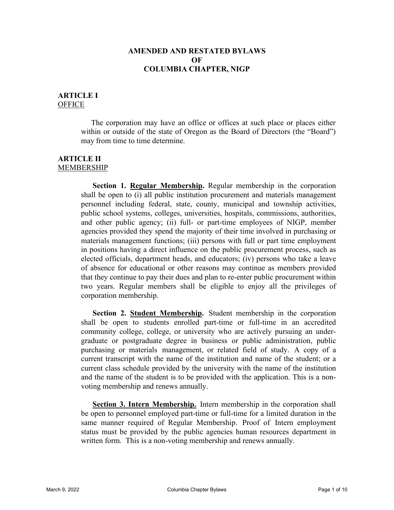### **AMENDED AND RESTATED BYLAWS OF COLUMBIA CHAPTER, NIGP**

#### **ARTICLE I OFFICE**

The corporation may have an office or offices at such place or places either within or outside of the state of Oregon as the Board of Directors (the "Board") may from time to time determine.

#### **ARTICLE II** MEMBERSHIP

**Section 1. Regular Membership.** Regular membership in the corporation shall be open to (i) all public institution procurement and materials management personnel including federal, state, county, municipal and township activities, public school systems, colleges, universities, hospitals, commissions, authorities, and other public agency; (ii) full- or part-time employees of NIGP, member agencies provided they spend the majority of their time involved in purchasing or materials management functions; (iii) persons with full or part time employment in positions having a direct influence on the public procurement process, such as elected officials, department heads, and educators; (iv) persons who take a leave of absence for educational or other reasons may continue as members provided that they continue to pay their dues and plan to re-enter public procurement within two years. Regular members shall be eligible to enjoy all the privileges of corporation membership.

**Section 2. Student Membership.** Student membership in the corporation shall be open to students enrolled part-time or full-time in an accredited community college, college, or university who are actively pursuing an undergraduate or postgraduate degree in business or public administration, public purchasing or materials management, or related field of study. A copy of a current transcript with the name of the institution and name of the student; or a current class schedule provided by the university with the name of the institution and the name of the student is to be provided with the application. This is a nonvoting membership and renews annually.

**Section 3. Intern Membership.** Intern membership in the corporation shall be open to personnel employed part-time or full-time for a limited duration in the same manner required of Regular Membership. Proof of Intern employment status must be provided by the public agencies human resources department in written form. This is a non-voting membership and renews annually.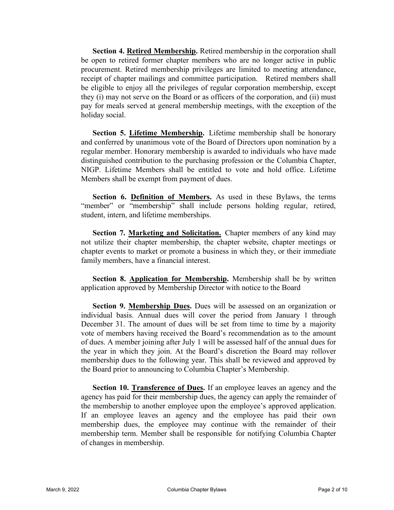**Section 4. Retired Membership.** Retired membership in the corporation shall be open to retired former chapter members who are no longer active in public procurement. Retired membership privileges are limited to meeting attendance, receipt of chapter mailings and committee participation. Retired members shall be eligible to enjoy all the privileges of regular corporation membership, except they (i) may not serve on the Board or as officers of the corporation, and (ii) must pay for meals served at general membership meetings, with the exception of the holiday social.

**Section 5. Lifetime Membership.** Lifetime membership shall be honorary and conferred by unanimous vote of the Board of Directors upon nomination by a regular member. Honorary membership is awarded to individuals who have made distinguished contribution to the purchasing profession or the Columbia Chapter, NIGP. Lifetime Members shall be entitled to vote and hold office. Lifetime Members shall be exempt from payment of dues.

**Section 6. Definition of Members.** As used in these Bylaws, the terms "member" or "membership" shall include persons holding regular, retired, student, intern, and lifetime memberships.

Section 7. Marketing and Solicitation. Chapter members of any kind may not utilize their chapter membership, the chapter website, chapter meetings or chapter events to market or promote a business in which they, or their immediate family members, have a financial interest.

**Section 8. Application for Membership.** Membership shall be by written application approved by Membership Director with notice to the Board

**Section 9. Membership Dues.** Dues will be assessed on an organization or individual basis. Annual dues will cover the period from January 1 through December 31. The amount of dues will be set from time to time by a majority vote of members having received the Board's recommendation as to the amount of dues. A member joining after July 1 will be assessed half of the annual dues for the year in which they join. At the Board's discretion the Board may rollover membership dues to the following year. This shall be reviewed and approved by the Board prior to announcing to Columbia Chapter's Membership.

**Section 10. Transference of Dues.** If an employee leaves an agency and the agency has paid for their membership dues, the agency can apply the remainder of the membership to another employee upon the employee's approved application. If an employee leaves an agency and the employee has paid their own membership dues, the employee may continue with the remainder of their membership term. Member shall be responsible for notifying Columbia Chapter of changes in membership.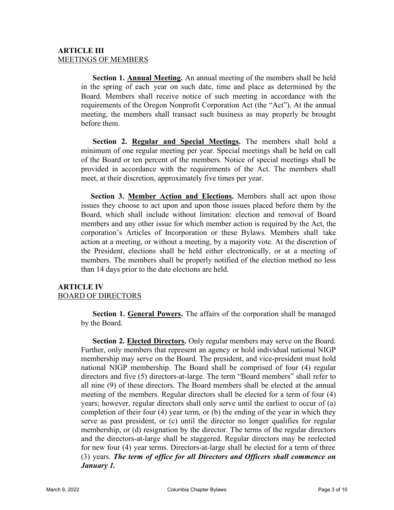### **ARTICLE III** MEETINGS OF MEMBERS

**Section 1. Annual Meeting.** An annual meeting of the members shall be held in the spring of each year on such date, time and place as determined by the Board. Members shall receive notice of such meeting in accordance with the requirements of the Oregon Nonprofit Corporation Act (the "Act"). At the annual meeting, the members shall transact such business as may properly be brought before them.

**Section 2. Regular and Special Meetings.** The members shall hold a minimum of one regular meeting per year. Special meetings shall be held on call of the Board or ten percent of the members. Notice of special meetings shall be provided in accordance with the requirements of the Act. The members shall meet, at their discretion, approximately five times per year.

**Section 3. Member Action and Elections.** Members shall act upon those issues they choose to act upon and upon those issues placed before them by the Board, which shall include without limitation: election and removal of Board members and any other issue for which member action is required by the Act, the corporation's Articles of Incorporation or these Bylaws. Members shall take action at a meeting, or without a meeting, by a majority vote. At the discretion of the President, elections shall be held either electronically, or at a meeting of members. The members shall be properly notified of the election method no less than 14 days prior to the date elections are held.

# **ARTICLE IV** BOARD OF DIRECTORS

**Section 1. General Powers.** The affairs of the corporation shall be managed by the Board.

**Section 2. Elected Directors.** Only regular members may serve on the Board. Further, only members that represent an agency or hold individual national NIGP membership may serve on the Board. The president, and vice-president must hold national NIGP membership. The Board shall be comprised of four (4) regular directors and five (5) directors-at-large. The term "Board members" shall refer to all nine (9) of these directors. The Board members shall be elected at the annual meeting of the members. Regular directors shall be elected for a term of four (4) years; however, regular directors shall only serve until the earliest to occur of (a) completion of their four (4) year term, or (b) the ending of the year in which they serve as past president, or (c) until the director no longer qualifies for regular membership, or (d) resignation by the director. The terms of the regular directors and the directors-at-large shall be staggered. Regular directors may be reelected for new four (4) year terms. Directors-at-large shall be elected for a term of three (3) years. *The term of office for all Directors and Officers shall commence on January 1.*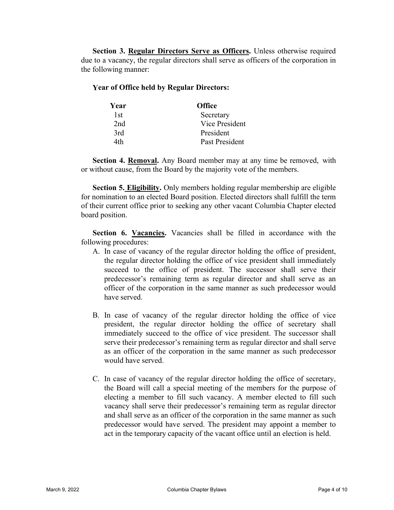Section 3. Regular Directors Serve as Officers. Unless otherwise required due to a vacancy, the regular directors shall serve as officers of the corporation in the following manner:

#### **Year of Office held by Regular Directors:**

| Year            | <b>Office</b>         |
|-----------------|-----------------------|
| 1st.            | Secretary             |
| 2 <sub>nd</sub> | <b>Vice President</b> |
| 3rd             | President             |
| 4th             | Past President        |

**Section 4. Removal.** Any Board member may at any time be removed, with or without cause, from the Board by the majority vote of the members.

**Section 5. Eligibility.** Only members holding regular membership are eligible for nomination to an elected Board position. Elected directors shall fulfill the term of their current office prior to seeking any other vacant Columbia Chapter elected board position.

Section 6. Vacancies. Vacancies shall be filled in accordance with the following procedures:

- A. In case of vacancy of the regular director holding the office of president, the regular director holding the office of vice president shall immediately succeed to the office of president. The successor shall serve their predecessor's remaining term as regular director and shall serve as an officer of the corporation in the same manner as such predecessor would have served.
- B. In case of vacancy of the regular director holding the office of vice president, the regular director holding the office of secretary shall immediately succeed to the office of vice president. The successor shall serve their predecessor's remaining term as regular director and shall serve as an officer of the corporation in the same manner as such predecessor would have served.
- C. In case of vacancy of the regular director holding the office of secretary, the Board will call a special meeting of the members for the purpose of electing a member to fill such vacancy. A member elected to fill such vacancy shall serve their predecessor's remaining term as regular director and shall serve as an officer of the corporation in the same manner as such predecessor would have served. The president may appoint a member to act in the temporary capacity of the vacant office until an election is held.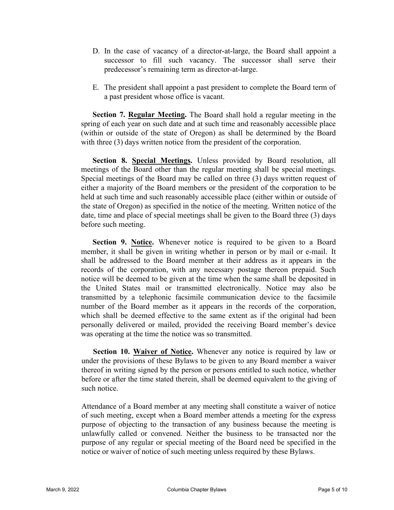- D. In the case of vacancy of a director-at-large, the Board shall appoint a successor to fill such vacancy. The successor shall serve their predecessor's remaining term as director-at-large.
- E. The president shall appoint a past president to complete the Board term of a past president whose office is vacant.

**Section 7. Regular Meeting.** The Board shall hold a regular meeting in the spring of each year on such date and at such time and reasonably accessible place (within or outside of the state of Oregon) as shall be determined by the Board with three (3) days written notice from the president of the corporation.

**Section 8. Special Meetings.** Unless provided by Board resolution, all meetings of the Board other than the regular meeting shall be special meetings. Special meetings of the Board may be called on three (3) days written request of either a majority of the Board members or the president of the corporation to be held at such time and such reasonably accessible place (either within or outside of the state of Oregon) as specified in the notice of the meeting. Written notice of the date, time and place of special meetings shall be given to the Board three (3) days before such meeting.

**Section 9. Notice.** Whenever notice is required to be given to a Board member, it shall be given in writing whether in person or by mail or e-mail. It shall be addressed to the Board member at their address as it appears in the records of the corporation, with any necessary postage thereon prepaid. Such notice will be deemed to be given at the time when the same shall be deposited in the United States mail or transmitted electronically. Notice may also be transmitted by a telephonic facsimile communication device to the facsimile number of the Board member as it appears in the records of the corporation, which shall be deemed effective to the same extent as if the original had been personally delivered or mailed, provided the receiving Board member's device was operating at the time the notice was so transmitted.

**Section 10. Waiver of Notice.** Whenever any notice is required by law or under the provisions of these Bylaws to be given to any Board member a waiver thereof in writing signed by the person or persons entitled to such notice, whether before or after the time stated therein, shall be deemed equivalent to the giving of such notice.

Attendance of a Board member at any meeting shall constitute a waiver of notice of such meeting, except when a Board member attends a meeting for the express purpose of objecting to the transaction of any business because the meeting is unlawfully called or convened. Neither the business to be transacted nor the purpose of any regular or special meeting of the Board need be specified in the notice or waiver of notice of such meeting unless required by these Bylaws.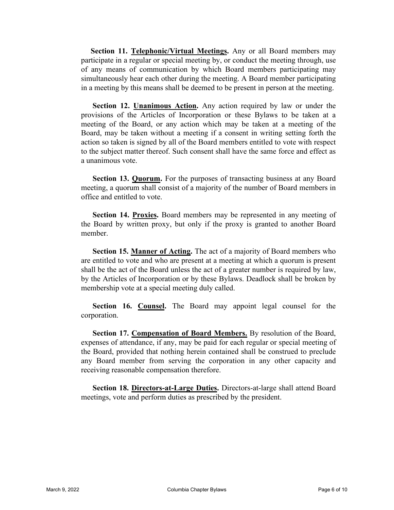**Section 11. Telephonic/Virtual Meetings.** Any or all Board members may participate in a regular or special meeting by, or conduct the meeting through, use of any means of communication by which Board members participating may simultaneously hear each other during the meeting. A Board member participating in a meeting by this means shall be deemed to be present in person at the meeting.

**Section 12. Unanimous Action.** Any action required by law or under the provisions of the Articles of Incorporation or these Bylaws to be taken at a meeting of the Board, or any action which may be taken at a meeting of the Board, may be taken without a meeting if a consent in writing setting forth the action so taken is signed by all of the Board members entitled to vote with respect to the subject matter thereof. Such consent shall have the same force and effect as a unanimous vote.

**Section 13. Quorum.** For the purposes of transacting business at any Board meeting, a quorum shall consist of a majority of the number of Board members in office and entitled to vote.

**Section 14. Proxies.** Board members may be represented in any meeting of the Board by written proxy, but only if the proxy is granted to another Board member.

**Section 15. Manner of Acting.** The act of a majority of Board members who are entitled to vote and who are present at a meeting at which a quorum is present shall be the act of the Board unless the act of a greater number is required by law, by the Articles of Incorporation or by these Bylaws. Deadlock shall be broken by membership vote at a special meeting duly called.

**Section 16. Counsel.** The Board may appoint legal counsel for the corporation.

**Section 17. Compensation of Board Members.** By resolution of the Board, expenses of attendance, if any, may be paid for each regular or special meeting of the Board, provided that nothing herein contained shall be construed to preclude any Board member from serving the corporation in any other capacity and receiving reasonable compensation therefore.

**Section 18. Directors-at-Large Duties.** Directors-at-large shall attend Board meetings, vote and perform duties as prescribed by the president.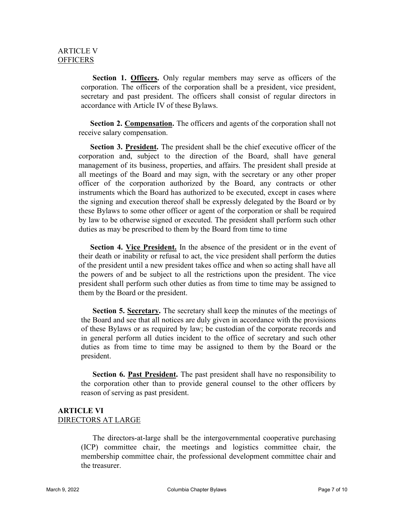**Section 1. Officers.** Only regular members may serve as officers of the corporation. The officers of the corporation shall be a president, vice president, secretary and past president. The officers shall consist of regular directors in accordance with Article IV of these Bylaws.

**Section 2. Compensation.** The officers and agents of the corporation shall not receive salary compensation.

**Section 3. President.** The president shall be the chief executive officer of the corporation and, subject to the direction of the Board, shall have general management of its business, properties, and affairs. The president shall preside at all meetings of the Board and may sign, with the secretary or any other proper officer of the corporation authorized by the Board, any contracts or other instruments which the Board has authorized to be executed, except in cases where the signing and execution thereof shall be expressly delegated by the Board or by these Bylaws to some other officer or agent of the corporation or shall be required by law to be otherwise signed or executed. The president shall perform such other duties as may be prescribed to them by the Board from time to time

**Section 4. Vice President.** In the absence of the president or in the event of their death or inability or refusal to act, the vice president shall perform the duties of the president until a new president takes office and when so acting shall have all the powers of and be subject to all the restrictions upon the president. The vice president shall perform such other duties as from time to time may be assigned to them by the Board or the president.

**Section 5. Secretary.** The secretary shall keep the minutes of the meetings of the Board and see that all notices are duly given in accordance with the provisions of these Bylaws or as required by law; be custodian of the corporate records and in general perform all duties incident to the office of secretary and such other duties as from time to time may be assigned to them by the Board or the president.

**Section 6. Past President.** The past president shall have no responsibility to the corporation other than to provide general counsel to the other officers by reason of serving as past president.

### **ARTICLE VI** DIRECTORS AT LARGE

The directors-at-large shall be the intergovernmental cooperative purchasing (ICP) committee chair, the meetings and logistics committee chair, the membership committee chair, the professional development committee chair and the treasurer.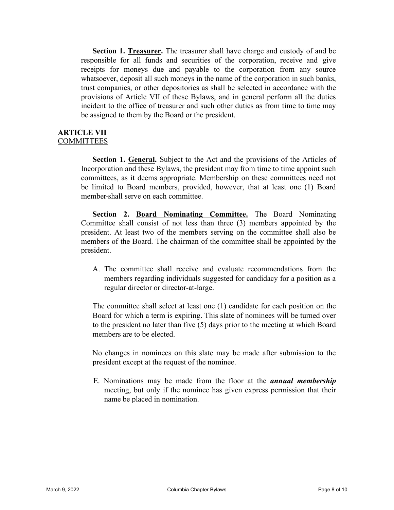**Section 1. Treasurer.** The treasurer shall have charge and custody of and be responsible for all funds and securities of the corporation, receive and give receipts for moneys due and payable to the corporation from any source whatsoever, deposit all such moneys in the name of the corporation in such banks, trust companies, or other depositories as shall be selected in accordance with the provisions of Article VII of these Bylaws, and in general perform all the duties incident to the office of treasurer and such other duties as from time to time may be assigned to them by the Board or the president.

#### **ARTICLE VII COMMITTEES**

**Section 1. General.** Subject to the Act and the provisions of the Articles of Incorporation and these Bylaws, the president may from time to time appoint such committees, as it deems appropriate. Membership on these committees need not be limited to Board members, provided, however, that at least one (1) Board member shall serve on each committee.

**Section 2. Board Nominating Committee.** The Board Nominating Committee shall consist of not less than three (3) members appointed by the president. At least two of the members serving on the committee shall also be members of the Board. The chairman of the committee shall be appointed by the president.

A. The committee shall receive and evaluate recommendations from the members regarding individuals suggested for candidacy for a position as a regular director or director-at-large.

The committee shall select at least one (1) candidate for each position on the Board for which a term is expiring. This slate of nominees will be turned over to the president no later than five (5) days prior to the meeting at which Board members are to be elected.

No changes in nominees on this slate may be made after submission to the president except at the request of the nominee.

E. Nominations may be made from the floor at the *annual membership* meeting, but only if the nominee has given express permission that their name be placed in nomination.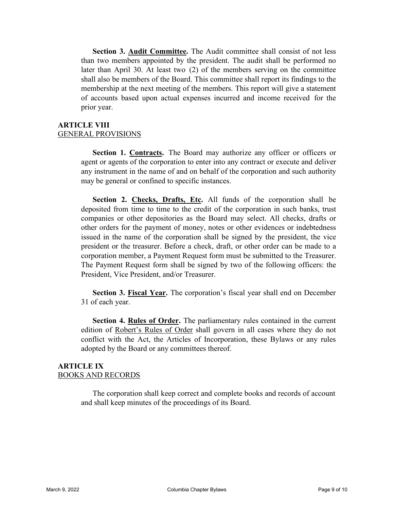**Section 3. Audit Committee.** The Audit committee shall consist of not less than two members appointed by the president. The audit shall be performed no later than April 30. At least two (2) of the members serving on the committee shall also be members of the Board. This committee shall report its findings to the membership at the next meeting of the members. This report will give a statement of accounts based upon actual expenses incurred and income received for the prior year.

# **ARTICLE VIII** GENERAL PROVISIONS

**Section 1. Contracts.** The Board may authorize any officer or officers or agent or agents of the corporation to enter into any contract or execute and deliver any instrument in the name of and on behalf of the corporation and such authority may be general or confined to specific instances.

**Section 2. Checks, Drafts, Etc.** All funds of the corporation shall be deposited from time to time to the credit of the corporation in such banks, trust companies or other depositories as the Board may select. All checks, drafts or other orders for the payment of money, notes or other evidences or indebtedness issued in the name of the corporation shall be signed by the president, the vice president or the treasurer. Before a check, draft, or other order can be made to a corporation member, a Payment Request form must be submitted to the Treasurer. The Payment Request form shall be signed by two of the following officers: the President, Vice President, and/or Treasurer.

**Section 3. Fiscal Year.** The corporation's fiscal year shall end on December 31 of each year.

**Section 4. Rules of Order.** The parliamentary rules contained in the current edition of Robert's Rules of Order shall govern in all cases where they do not conflict with the Act, the Articles of Incorporation, these Bylaws or any rules adopted by the Board or any committees thereof.

# **ARTICLE IX** BOOKS AND RECORDS

The corporation shall keep correct and complete books and records of account and shall keep minutes of the proceedings of its Board.